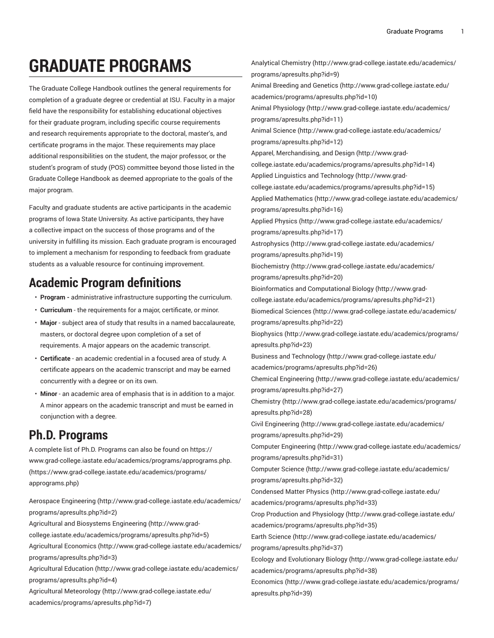# **GRADUATE PROGRAMS**

The Graduate College Handbook outlines the general requirements for completion of a graduate degree or credential at ISU. Faculty in a major field have the responsibility for establishing educational objectives for their graduate program, including specific course requirements and research requirements appropriate to the doctoral, master's, and certificate programs in the major. These requirements may place additional responsibilities on the student, the major professor, or the student's program of study (POS) committee beyond those listed in the Graduate College Handbook as deemed appropriate to the goals of the major program.

Faculty and graduate students are active participants in the academic programs of Iowa State University. As active participants, they have a collective impact on the success of those programs and of the university in fulfilling its mission. Each graduate program is encouraged to implement a mechanism for responding to feedback from graduate students as a valuable resource for continuing improvement.

## **Academic Program definitions**

- **Program -** administrative infrastructure supporting the curriculum.
- **Curriculum** the requirements for a major, certificate, or minor.
- **Major** subject area of study that results in a named baccalaureate, masters, or doctoral degree upon completion of a set of requirements. A major appears on the academic transcript.
- **Certificate** an academic credential in a focused area of study. A certificate appears on the academic transcript and may be earned concurrently with a degree or on its own.
- **Minor** an academic area of emphasis that is in addition to a major. A minor appears on the academic transcript and must be earned in conjunction with a degree.

# **Ph.D. Programs**

A complete list of Ph.D. Programs can also be found on [https://](https://www.grad-college.iastate.edu/academics/programs/apprograms.php) [www.grad-college.iastate.edu/academics/programs/apprograms.php.](https://www.grad-college.iastate.edu/academics/programs/apprograms.php) ([https://www.grad-college.iastate.edu/academics/programs/](https://www.grad-college.iastate.edu/academics/programs/apprograms.php) [apprograms.php](https://www.grad-college.iastate.edu/academics/programs/apprograms.php))

Aerospace [Engineering \(http://www.grad-college.iastate.edu/academics/](http://www.grad-college.iastate.edu/academics/programs/apresults.php?id=2) [programs/apresults.php?id=2\)](http://www.grad-college.iastate.edu/academics/programs/apresults.php?id=2) [Agricultural and Biosystems Engineering](http://www.grad-college.iastate.edu/academics/programs/apresults.php?id=5) ([http://www.grad](http://www.grad-college.iastate.edu/academics/programs/apresults.php?id=5)[college.iastate.edu/academics/programs/apresults.php?id=5](http://www.grad-college.iastate.edu/academics/programs/apresults.php?id=5))

[Agricultural](http://www.grad-college.iastate.edu/academics/programs/apresults.php?id=3) Economics [\(http://www.grad-college.iastate.edu/academics/](http://www.grad-college.iastate.edu/academics/programs/apresults.php?id=3)

[programs/apresults.php?id=3\)](http://www.grad-college.iastate.edu/academics/programs/apresults.php?id=3)

[Agricultural](http://www.grad-college.iastate.edu/academics/programs/apresults.php?id=4) Education [\(http://www.grad-college.iastate.edu/academics/](http://www.grad-college.iastate.edu/academics/programs/apresults.php?id=4) [programs/apresults.php?id=4\)](http://www.grad-college.iastate.edu/academics/programs/apresults.php?id=4)

Agricultural [Meteorology \(http://www.grad-college.iastate.edu/](http://www.grad-college.iastate.edu/academics/programs/apresults.php?id=7) [academics/programs/apresults.php?id=7](http://www.grad-college.iastate.edu/academics/programs/apresults.php?id=7))

Analytical [Chemistry \(http://www.grad-college.iastate.edu/academics/](http://www.grad-college.iastate.edu/academics/programs/apresults.php?id=9) [programs/apresults.php?id=9\)](http://www.grad-college.iastate.edu/academics/programs/apresults.php?id=9) Animal [Breeding](http://www.grad-college.iastate.edu/academics/programs/apresults.php?id=10) and Genetics [\(http://www.grad-college.iastate.edu/](http://www.grad-college.iastate.edu/academics/programs/apresults.php?id=10) [academics/programs/apresults.php?id=10\)](http://www.grad-college.iastate.edu/academics/programs/apresults.php?id=10) [Animal Physiology](http://www.grad-college.iastate.edu/academics/programs/apresults.php?id=11) ([http://www.grad-college.iastate.edu/academics/](http://www.grad-college.iastate.edu/academics/programs/apresults.php?id=11) [programs/apresults.php?id=11](http://www.grad-college.iastate.edu/academics/programs/apresults.php?id=11)) [Animal Science](http://www.grad-college.iastate.edu/academics/programs/apresults.php?id=12) ([http://www.grad-college.iastate.edu/academics/](http://www.grad-college.iastate.edu/academics/programs/apresults.php?id=12) [programs/apresults.php?id=12](http://www.grad-college.iastate.edu/academics/programs/apresults.php?id=12)) Apparel, [Merchandising,](http://www.grad-college.iastate.edu/academics/programs/apresults.php?id=14) and Design [\(http://www.grad](http://www.grad-college.iastate.edu/academics/programs/apresults.php?id=14)[college.iastate.edu/academics/programs/apresults.php?id=14](http://www.grad-college.iastate.edu/academics/programs/apresults.php?id=14)) Applied Linguistics and [Technology \(http://www.grad](http://www.grad-college.iastate.edu/academics/programs/apresults.php?id=15)[college.iastate.edu/academics/programs/apresults.php?id=15](http://www.grad-college.iastate.edu/academics/programs/apresults.php?id=15)) [Applied Mathematics](http://www.grad-college.iastate.edu/academics/programs/apresults.php?id=16) ([http://www.grad-college.iastate.edu/academics/](http://www.grad-college.iastate.edu/academics/programs/apresults.php?id=16) [programs/apresults.php?id=16](http://www.grad-college.iastate.edu/academics/programs/apresults.php?id=16)) [Applied Physics \(http://www.grad-college.iastate.edu/academics/](http://www.grad-college.iastate.edu/academics/programs/apresults.php?id=17) [programs/apresults.php?id=17](http://www.grad-college.iastate.edu/academics/programs/apresults.php?id=17)) [Astrophysics](http://www.grad-college.iastate.edu/academics/programs/apresults.php?id=19) [\(http://www.grad-college.iastate.edu/academics/](http://www.grad-college.iastate.edu/academics/programs/apresults.php?id=19) [programs/apresults.php?id=19](http://www.grad-college.iastate.edu/academics/programs/apresults.php?id=19)) [Biochemistry \(http://www.grad-college.iastate.edu/academics/](http://www.grad-college.iastate.edu/academics/programs/apresults.php?id=20) [programs/apresults.php?id=20](http://www.grad-college.iastate.edu/academics/programs/apresults.php?id=20)) [Bioinformatics and Computational Biology \(http://www.grad](http://www.grad-college.iastate.edu/academics/programs/apresults.php?id=21)[college.iastate.edu/academics/programs/apresults.php?id=21](http://www.grad-college.iastate.edu/academics/programs/apresults.php?id=21)) [Biomedical Sciences](http://www.grad-college.iastate.edu/academics/programs/apresults.php?id=22) ([http://www.grad-college.iastate.edu/academics/](http://www.grad-college.iastate.edu/academics/programs/apresults.php?id=22) [programs/apresults.php?id=22](http://www.grad-college.iastate.edu/academics/programs/apresults.php?id=22)) [Biophysics \(http://www.grad-college.iastate.edu/academics/programs/](http://www.grad-college.iastate.edu/academics/programs/apresults.php?id=23) [apresults.php?id=23](http://www.grad-college.iastate.edu/academics/programs/apresults.php?id=23)) Business and [Technology](http://www.grad-college.iastate.edu/academics/programs/apresults.php?id=26) ([http://www.grad-college.iastate.edu/](http://www.grad-college.iastate.edu/academics/programs/apresults.php?id=26) [academics/programs/apresults.php?id=26\)](http://www.grad-college.iastate.edu/academics/programs/apresults.php?id=26) [Chemical Engineering](http://www.grad-college.iastate.edu/academics/programs/apresults.php?id=27) [\(http://www.grad-college.iastate.edu/academics/](http://www.grad-college.iastate.edu/academics/programs/apresults.php?id=27) [programs/apresults.php?id=27](http://www.grad-college.iastate.edu/academics/programs/apresults.php?id=27)) [Chemistry](http://www.grad-college.iastate.edu/academics/programs/apresults.php?id=28) ([http://www.grad-college.iastate.edu/academics/programs/](http://www.grad-college.iastate.edu/academics/programs/apresults.php?id=28) [apresults.php?id=28](http://www.grad-college.iastate.edu/academics/programs/apresults.php?id=28)) [Civil Engineering](http://www.grad-college.iastate.edu/academics/programs/apresults.php?id=29) ([http://www.grad-college.iastate.edu/academics/](http://www.grad-college.iastate.edu/academics/programs/apresults.php?id=29) [programs/apresults.php?id=29](http://www.grad-college.iastate.edu/academics/programs/apresults.php?id=29)) [Computer Engineering](http://www.grad-college.iastate.edu/academics/programs/apresults.php?id=31) [\(http://www.grad-college.iastate.edu/academics/](http://www.grad-college.iastate.edu/academics/programs/apresults.php?id=31) [programs/apresults.php?id=31](http://www.grad-college.iastate.edu/academics/programs/apresults.php?id=31)) [Computer Science](http://www.grad-college.iastate.edu/academics/programs/apresults.php?id=32) ([http://www.grad-college.iastate.edu/academics/](http://www.grad-college.iastate.edu/academics/programs/apresults.php?id=32) [programs/apresults.php?id=32](http://www.grad-college.iastate.edu/academics/programs/apresults.php?id=32)) [Condensed Matter Physics](http://www.grad-college.iastate.edu/academics/programs/apresults.php?id=33) ([http://www.grad-college.iastate.edu/](http://www.grad-college.iastate.edu/academics/programs/apresults.php?id=33) [academics/programs/apresults.php?id=33\)](http://www.grad-college.iastate.edu/academics/programs/apresults.php?id=33) Crop Production and [Physiology \(http://www.grad-college.iastate.edu/](http://www.grad-college.iastate.edu/academics/programs/apresults.php?id=35) [academics/programs/apresults.php?id=35\)](http://www.grad-college.iastate.edu/academics/programs/apresults.php?id=35) Earth [Science](http://www.grad-college.iastate.edu/academics/programs/apresults.php?id=37) ([http://www.grad-college.iastate.edu/academics/](http://www.grad-college.iastate.edu/academics/programs/apresults.php?id=37) [programs/apresults.php?id=37](http://www.grad-college.iastate.edu/academics/programs/apresults.php?id=37)) Ecology and [Evolutionary](http://www.grad-college.iastate.edu/academics/programs/apresults.php?id=38) Biology [\(http://www.grad-college.iastate.edu/](http://www.grad-college.iastate.edu/academics/programs/apresults.php?id=38) [academics/programs/apresults.php?id=38\)](http://www.grad-college.iastate.edu/academics/programs/apresults.php?id=38) [Economics](http://www.grad-college.iastate.edu/academics/programs/apresults.php?id=39) ([http://www.grad-college.iastate.edu/academics/programs/](http://www.grad-college.iastate.edu/academics/programs/apresults.php?id=39) [apresults.php?id=39](http://www.grad-college.iastate.edu/academics/programs/apresults.php?id=39))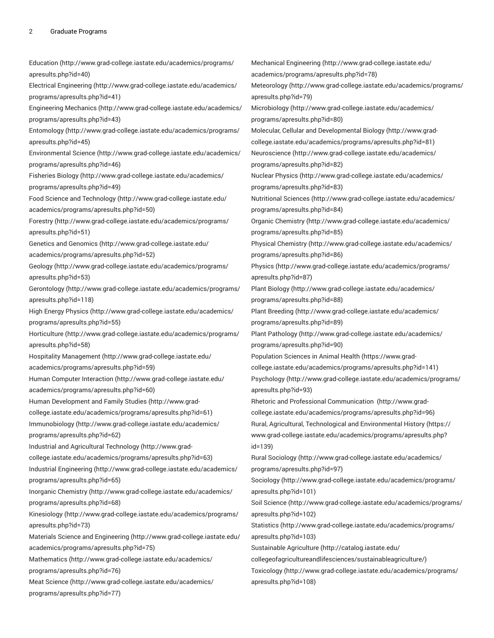[Education](http://www.grad-college.iastate.edu/academics/programs/apresults.php?id=40) ([http://www.grad-college.iastate.edu/academics/programs/](http://www.grad-college.iastate.edu/academics/programs/apresults.php?id=40) [apresults.php?id=40](http://www.grad-college.iastate.edu/academics/programs/apresults.php?id=40)) [Electrical Engineering \(http://www.grad-college.iastate.edu/academics/](http://www.grad-college.iastate.edu/academics/programs/apresults.php?id=41) [programs/apresults.php?id=41](http://www.grad-college.iastate.edu/academics/programs/apresults.php?id=41)) [Engineering Mechanics](http://www.grad-college.iastate.edu/academics/programs/apresults.php?id=43) ([http://www.grad-college.iastate.edu/academics/](http://www.grad-college.iastate.edu/academics/programs/apresults.php?id=43) [programs/apresults.php?id=43](http://www.grad-college.iastate.edu/academics/programs/apresults.php?id=43)) [Entomology](http://www.grad-college.iastate.edu/academics/programs/apresults.php?id=45) ([http://www.grad-college.iastate.edu/academics/programs/](http://www.grad-college.iastate.edu/academics/programs/apresults.php?id=45) [apresults.php?id=45](http://www.grad-college.iastate.edu/academics/programs/apresults.php?id=45)) [Environmental](http://www.grad-college.iastate.edu/academics/programs/apresults.php?id=46) Science ([http://www.grad-college.iastate.edu/academics/](http://www.grad-college.iastate.edu/academics/programs/apresults.php?id=46) [programs/apresults.php?id=46](http://www.grad-college.iastate.edu/academics/programs/apresults.php?id=46)) [Fisheries Biology \(http://www.grad-college.iastate.edu/academics/](http://www.grad-college.iastate.edu/academics/programs/apresults.php?id=49) [programs/apresults.php?id=49](http://www.grad-college.iastate.edu/academics/programs/apresults.php?id=49)) Food Science and [Technology \(http://www.grad-college.iastate.edu/](http://www.grad-college.iastate.edu/academics/programs/apresults.php?id=50) [academics/programs/apresults.php?id=50\)](http://www.grad-college.iastate.edu/academics/programs/apresults.php?id=50) [Forestry \(http://www.grad-college.iastate.edu/academics/programs/](http://www.grad-college.iastate.edu/academics/programs/apresults.php?id=51) [apresults.php?id=51](http://www.grad-college.iastate.edu/academics/programs/apresults.php?id=51)) [Genetics and Genomics](http://www.grad-college.iastate.edu/academics/programs/apresults.php?id=52) ([http://www.grad-college.iastate.edu/](http://www.grad-college.iastate.edu/academics/programs/apresults.php?id=52) [academics/programs/apresults.php?id=52\)](http://www.grad-college.iastate.edu/academics/programs/apresults.php?id=52) [Geology](http://www.grad-college.iastate.edu/academics/programs/apresults.php?id=53) ([http://www.grad-college.iastate.edu/academics/programs/](http://www.grad-college.iastate.edu/academics/programs/apresults.php?id=53) [apresults.php?id=53](http://www.grad-college.iastate.edu/academics/programs/apresults.php?id=53)) [Gerontology \(http://www.grad-college.iastate.edu/academics/programs/](http://www.grad-college.iastate.edu/academics/programs/apresults.php?id=118) [apresults.php?id=118\)](http://www.grad-college.iastate.edu/academics/programs/apresults.php?id=118) High Energy [Physics \(http://www.grad-college.iastate.edu/academics/](http://www.grad-college.iastate.edu/academics/programs/apresults.php?id=55) [programs/apresults.php?id=55](http://www.grad-college.iastate.edu/academics/programs/apresults.php?id=55)) [Horticulture \(http://www.grad-college.iastate.edu/academics/programs/](http://www.grad-college.iastate.edu/academics/programs/apresults.php?id=58) [apresults.php?id=58](http://www.grad-college.iastate.edu/academics/programs/apresults.php?id=58)) [Hospitality Management \(http://www.grad-college.iastate.edu/](http://www.grad-college.iastate.edu/academics/programs/apresults.php?id=59) [academics/programs/apresults.php?id=59\)](http://www.grad-college.iastate.edu/academics/programs/apresults.php?id=59) [Human Computer Interaction \(http://www.grad-college.iastate.edu/](http://www.grad-college.iastate.edu/academics/programs/apresults.php?id=60) [academics/programs/apresults.php?id=60\)](http://www.grad-college.iastate.edu/academics/programs/apresults.php?id=60) Human [Development](http://www.grad-college.iastate.edu/academics/programs/apresults.php?id=61) and Family Studies ([http://www.grad](http://www.grad-college.iastate.edu/academics/programs/apresults.php?id=61)[college.iastate.edu/academics/programs/apresults.php?id=61\)](http://www.grad-college.iastate.edu/academics/programs/apresults.php?id=61) [Immunobiology](http://www.grad-college.iastate.edu/academics/programs/apresults.php?id=62) ([http://www.grad-college.iastate.edu/academics/](http://www.grad-college.iastate.edu/academics/programs/apresults.php?id=62) [programs/apresults.php?id=62](http://www.grad-college.iastate.edu/academics/programs/apresults.php?id=62)) Industrial and Agricultural [Technology \(http://www.grad](http://www.grad-college.iastate.edu/academics/programs/apresults.php?id=63)[college.iastate.edu/academics/programs/apresults.php?id=63\)](http://www.grad-college.iastate.edu/academics/programs/apresults.php?id=63) [Industrial Engineering \(http://www.grad-college.iastate.edu/academics/](http://www.grad-college.iastate.edu/academics/programs/apresults.php?id=65) [programs/apresults.php?id=65](http://www.grad-college.iastate.edu/academics/programs/apresults.php?id=65)) Inorganic [Chemistry](http://www.grad-college.iastate.edu/academics/programs/apresults.php?id=68) ([http://www.grad-college.iastate.edu/academics/](http://www.grad-college.iastate.edu/academics/programs/apresults.php?id=68) [programs/apresults.php?id=68](http://www.grad-college.iastate.edu/academics/programs/apresults.php?id=68)) [Kinesiology \(http://www.grad-college.iastate.edu/academics/programs/](http://www.grad-college.iastate.edu/academics/programs/apresults.php?id=73) [apresults.php?id=73](http://www.grad-college.iastate.edu/academics/programs/apresults.php?id=73)) [Materials Science and Engineering](http://www.grad-college.iastate.edu/academics/programs/apresults.php?id=75) ([http://www.grad-college.iastate.edu/](http://www.grad-college.iastate.edu/academics/programs/apresults.php?id=75) [academics/programs/apresults.php?id=75\)](http://www.grad-college.iastate.edu/academics/programs/apresults.php?id=75) [Mathematics \(http://www.grad-college.iastate.edu/academics/](http://www.grad-college.iastate.edu/academics/programs/apresults.php?id=76) [programs/apresults.php?id=76](http://www.grad-college.iastate.edu/academics/programs/apresults.php?id=76)) [Meat Science \(http://www.grad-college.iastate.edu/academics/](http://www.grad-college.iastate.edu/academics/programs/apresults.php?id=77) [programs/apresults.php?id=77](http://www.grad-college.iastate.edu/academics/programs/apresults.php?id=77)) [Mechanical Engineering \(http://www.grad-college.iastate.edu/](http://www.grad-college.iastate.edu/academics/programs/apresults.php?id=78) [academics/programs/apresults.php?id=78\)](http://www.grad-college.iastate.edu/academics/programs/apresults.php?id=78) [id=139\)](https://www.grad-college.iastate.edu/academics/programs/apresults.php?id=139)

[Meteorology](http://www.grad-college.iastate.edu/academics/programs/apresults.php?id=79) [\(http://www.grad-college.iastate.edu/academics/programs/](http://www.grad-college.iastate.edu/academics/programs/apresults.php?id=79) [apresults.php?id=79](http://www.grad-college.iastate.edu/academics/programs/apresults.php?id=79)) [Microbiology](http://www.grad-college.iastate.edu/academics/programs/apresults.php?id=80) ([http://www.grad-college.iastate.edu/academics/](http://www.grad-college.iastate.edu/academics/programs/apresults.php?id=80) [programs/apresults.php?id=80](http://www.grad-college.iastate.edu/academics/programs/apresults.php?id=80)) Molecular, Cellular and [Developmental](http://www.grad-college.iastate.edu/academics/programs/apresults.php?id=81) Biology [\(http://www.grad](http://www.grad-college.iastate.edu/academics/programs/apresults.php?id=81)[college.iastate.edu/academics/programs/apresults.php?id=81](http://www.grad-college.iastate.edu/academics/programs/apresults.php?id=81)) [Neuroscience \(http://www.grad-college.iastate.edu/academics/](http://www.grad-college.iastate.edu/academics/programs/apresults.php?id=82) [programs/apresults.php?id=82](http://www.grad-college.iastate.edu/academics/programs/apresults.php?id=82)) [Nuclear Physics \(http://www.grad-college.iastate.edu/academics/](http://www.grad-college.iastate.edu/academics/programs/apresults.php?id=83) [programs/apresults.php?id=83](http://www.grad-college.iastate.edu/academics/programs/apresults.php?id=83)) [Nutritional Sciences](http://www.grad-college.iastate.edu/academics/programs/apresults.php?id=84) ([http://www.grad-college.iastate.edu/academics/](http://www.grad-college.iastate.edu/academics/programs/apresults.php?id=84) [programs/apresults.php?id=84](http://www.grad-college.iastate.edu/academics/programs/apresults.php?id=84)) Organic [Chemistry \(http://www.grad-college.iastate.edu/academics/](http://www.grad-college.iastate.edu/academics/programs/apresults.php?id=85) [programs/apresults.php?id=85](http://www.grad-college.iastate.edu/academics/programs/apresults.php?id=85)) Physical [Chemistry](http://www.grad-college.iastate.edu/academics/programs/apresults.php?id=86) [\(http://www.grad-college.iastate.edu/academics/](http://www.grad-college.iastate.edu/academics/programs/apresults.php?id=86) [programs/apresults.php?id=86](http://www.grad-college.iastate.edu/academics/programs/apresults.php?id=86)) [Physics \(http://www.grad-college.iastate.edu/academics/programs/](http://www.grad-college.iastate.edu/academics/programs/apresults.php?id=87) [apresults.php?id=87](http://www.grad-college.iastate.edu/academics/programs/apresults.php?id=87)) [Plant Biology](http://www.grad-college.iastate.edu/academics/programs/apresults.php?id=88) ([http://www.grad-college.iastate.edu/academics/](http://www.grad-college.iastate.edu/academics/programs/apresults.php?id=88) [programs/apresults.php?id=88](http://www.grad-college.iastate.edu/academics/programs/apresults.php?id=88)) Plant [Breeding](http://www.grad-college.iastate.edu/academics/programs/apresults.php?id=89) ([http://www.grad-college.iastate.edu/academics/](http://www.grad-college.iastate.edu/academics/programs/apresults.php?id=89) [programs/apresults.php?id=89](http://www.grad-college.iastate.edu/academics/programs/apresults.php?id=89)) Plant [Pathology \(http://www.grad-college.iastate.edu/academics/](http://www.grad-college.iastate.edu/academics/programs/apresults.php?id=90) [programs/apresults.php?id=90](http://www.grad-college.iastate.edu/academics/programs/apresults.php?id=90)) [Population](https://www.grad-college.iastate.edu/academics/programs/apresults.php?id=141) Sciences in Animal Health ([https://www.grad](https://www.grad-college.iastate.edu/academics/programs/apresults.php?id=141)[college.iastate.edu/academics/programs/apresults.php?id=141\)](https://www.grad-college.iastate.edu/academics/programs/apresults.php?id=141) [Psychology](http://www.grad-college.iastate.edu/academics/programs/apresults.php?id=93) ([http://www.grad-college.iastate.edu/academics/programs/](http://www.grad-college.iastate.edu/academics/programs/apresults.php?id=93) [apresults.php?id=93](http://www.grad-college.iastate.edu/academics/programs/apresults.php?id=93)) Rhetoric and Professional [Communication](http://www.grad-college.iastate.edu/academics/programs/apresults.php?id=96) [\(http://www.grad](http://www.grad-college.iastate.edu/academics/programs/apresults.php?id=96)[college.iastate.edu/academics/programs/apresults.php?id=96](http://www.grad-college.iastate.edu/academics/programs/apresults.php?id=96)) Rural, Agricultural, Technological and [Environmental](https://www.grad-college.iastate.edu/academics/programs/apresults.php?id=139) History [\(https://](https://www.grad-college.iastate.edu/academics/programs/apresults.php?id=139) [www.grad-college.iastate.edu/academics/programs/apresults.php?](https://www.grad-college.iastate.edu/academics/programs/apresults.php?id=139) [Rural Sociology \(http://www.grad-college.iastate.edu/academics/](http://www.grad-college.iastate.edu/academics/programs/apresults.php?id=97) [programs/apresults.php?id=97](http://www.grad-college.iastate.edu/academics/programs/apresults.php?id=97)) [Sociology \(http://www.grad-college.iastate.edu/academics/programs/](http://www.grad-college.iastate.edu/academics/programs/apresults.php?id=101) [apresults.php?id=101](http://www.grad-college.iastate.edu/academics/programs/apresults.php?id=101)) [Soil Science](http://www.grad-college.iastate.edu/academics/programs/apresults.php?id=102) [\(http://www.grad-college.iastate.edu/academics/programs/](http://www.grad-college.iastate.edu/academics/programs/apresults.php?id=102) [apresults.php?id=102](http://www.grad-college.iastate.edu/academics/programs/apresults.php?id=102)) [Statistics \(http://www.grad-college.iastate.edu/academics/programs/](http://www.grad-college.iastate.edu/academics/programs/apresults.php?id=103) [apresults.php?id=103](http://www.grad-college.iastate.edu/academics/programs/apresults.php?id=103)) [Sustainable](http://catalog.iastate.edu/collegeofagricultureandlifesciences/sustainableagriculture/) Agriculture [\(http://catalog.iastate.edu/](http://catalog.iastate.edu/collegeofagricultureandlifesciences/sustainableagriculture/) [collegeofagricultureandlifesciences/sustainableagriculture/](http://catalog.iastate.edu/collegeofagricultureandlifesciences/sustainableagriculture/)) [Toxicology](http://www.grad-college.iastate.edu/academics/programs/apresults.php?id=108) ([http://www.grad-college.iastate.edu/academics/programs/](http://www.grad-college.iastate.edu/academics/programs/apresults.php?id=108) [apresults.php?id=108](http://www.grad-college.iastate.edu/academics/programs/apresults.php?id=108))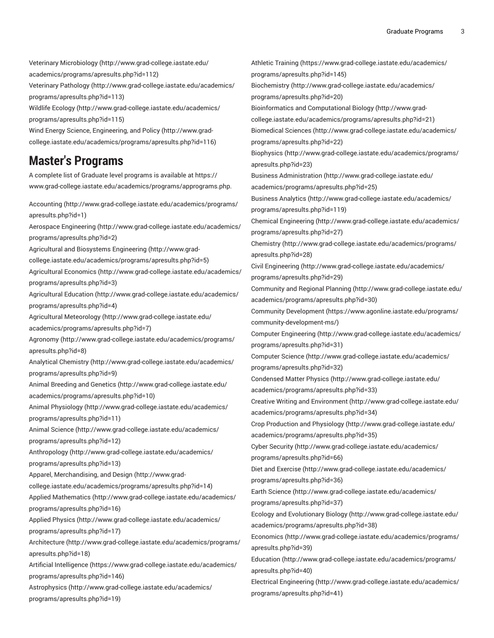Veterinary [Microbiology](http://www.grad-college.iastate.edu/academics/programs/apresults.php?id=112) ([http://www.grad-college.iastate.edu/](http://www.grad-college.iastate.edu/academics/programs/apresults.php?id=112) [academics/programs/apresults.php?id=112](http://www.grad-college.iastate.edu/academics/programs/apresults.php?id=112))

[Veterinary](http://www.grad-college.iastate.edu/academics/programs/apresults.php?id=113) Pathology ([http://www.grad-college.iastate.edu/academics/](http://www.grad-college.iastate.edu/academics/programs/apresults.php?id=113) [programs/apresults.php?id=113\)](http://www.grad-college.iastate.edu/academics/programs/apresults.php?id=113)

Wildlife [Ecology](http://www.grad-college.iastate.edu/academics/programs/apresults.php?id=115) ([http://www.grad-college.iastate.edu/academics/](http://www.grad-college.iastate.edu/academics/programs/apresults.php?id=115) [programs/apresults.php?id=115\)](http://www.grad-college.iastate.edu/academics/programs/apresults.php?id=115)

Wind Energy Science, [Engineering,](http://www.grad-college.iastate.edu/academics/programs/apresults.php?id=116) and Policy ([http://www.grad](http://www.grad-college.iastate.edu/academics/programs/apresults.php?id=116)[college.iastate.edu/academics/programs/apresults.php?id=116](http://www.grad-college.iastate.edu/academics/programs/apresults.php?id=116))

### **Master's Programs**

A complete list of Graduate level programs is available at [https://](https://www.grad-college.iastate.edu/academics/programs/apprograms.php) [www.grad-college.iastate.edu/academics/programs/apprograms.php](https://www.grad-college.iastate.edu/academics/programs/apprograms.php).

[Accounting](http://www.grad-college.iastate.edu/academics/programs/apresults.php?id=1) ([http://www.grad-college.iastate.edu/academics/programs/](http://www.grad-college.iastate.edu/academics/programs/apresults.php?id=1) [apresults.php?id=1\)](http://www.grad-college.iastate.edu/academics/programs/apresults.php?id=1)

Aerospace [Engineering \(http://www.grad-college.iastate.edu/academics/](http://www.grad-college.iastate.edu/academics/programs/apresults.php?id=2) [programs/apresults.php?id=2\)](http://www.grad-college.iastate.edu/academics/programs/apresults.php?id=2)

[Agricultural and Biosystems Engineering](http://www.grad-college.iastate.edu/academics/programs/apresults.php?id=5) ([http://www.grad-](http://www.grad-college.iastate.edu/academics/programs/apresults.php?id=5)

[college.iastate.edu/academics/programs/apresults.php?id=5](http://www.grad-college.iastate.edu/academics/programs/apresults.php?id=5))

[Agricultural](http://www.grad-college.iastate.edu/academics/programs/apresults.php?id=3) Economics [\(http://www.grad-college.iastate.edu/academics/](http://www.grad-college.iastate.edu/academics/programs/apresults.php?id=3) [programs/apresults.php?id=3\)](http://www.grad-college.iastate.edu/academics/programs/apresults.php?id=3)

[Agricultural](http://www.grad-college.iastate.edu/academics/programs/apresults.php?id=4) Education [\(http://www.grad-college.iastate.edu/academics/](http://www.grad-college.iastate.edu/academics/programs/apresults.php?id=4) [programs/apresults.php?id=4\)](http://www.grad-college.iastate.edu/academics/programs/apresults.php?id=4)

Agricultural [Meteorology \(http://www.grad-college.iastate.edu/](http://www.grad-college.iastate.edu/academics/programs/apresults.php?id=7)

[academics/programs/apresults.php?id=7](http://www.grad-college.iastate.edu/academics/programs/apresults.php?id=7))

[Agronomy](http://www.grad-college.iastate.edu/academics/programs/apresults.php?id=8) ([http://www.grad-college.iastate.edu/academics/programs/](http://www.grad-college.iastate.edu/academics/programs/apresults.php?id=8) [apresults.php?id=8\)](http://www.grad-college.iastate.edu/academics/programs/apresults.php?id=8)

Analytical [Chemistry](http://www.grad-college.iastate.edu/academics/programs/apresults.php?id=9) ([http://www.grad-college.iastate.edu/academics/](http://www.grad-college.iastate.edu/academics/programs/apresults.php?id=9) [programs/apresults.php?id=9\)](http://www.grad-college.iastate.edu/academics/programs/apresults.php?id=9)

Animal [Breeding](http://www.grad-college.iastate.edu/academics/programs/apresults.php?id=10) and Genetics ([http://www.grad-college.iastate.edu/](http://www.grad-college.iastate.edu/academics/programs/apresults.php?id=10) [academics/programs/apresults.php?id=10\)](http://www.grad-college.iastate.edu/academics/programs/apresults.php?id=10)

[Animal Physiology \(http://www.grad-college.iastate.edu/academics/](http://www.grad-college.iastate.edu/academics/programs/apresults.php?id=11) [programs/apresults.php?id=11](http://www.grad-college.iastate.edu/academics/programs/apresults.php?id=11))

[Animal Science \(http://www.grad-college.iastate.edu/academics/](http://www.grad-college.iastate.edu/academics/programs/apresults.php?id=12) [programs/apresults.php?id=12](http://www.grad-college.iastate.edu/academics/programs/apresults.php?id=12))

[Anthropology](http://www.grad-college.iastate.edu/academics/programs/apresults.php?id=13) [\(http://www.grad-college.iastate.edu/academics/](http://www.grad-college.iastate.edu/academics/programs/apresults.php?id=13) [programs/apresults.php?id=13](http://www.grad-college.iastate.edu/academics/programs/apresults.php?id=13))

Apparel, [Merchandising,](http://www.grad-college.iastate.edu/academics/programs/apresults.php?id=14) and Design ([http://www.grad-](http://www.grad-college.iastate.edu/academics/programs/apresults.php?id=14)

[college.iastate.edu/academics/programs/apresults.php?id=14\)](http://www.grad-college.iastate.edu/academics/programs/apresults.php?id=14)

[Applied Mathematics \(http://www.grad-college.iastate.edu/academics/](http://www.grad-college.iastate.edu/academics/programs/apresults.php?id=16) [programs/apresults.php?id=16](http://www.grad-college.iastate.edu/academics/programs/apresults.php?id=16))

[Applied Physics](http://www.grad-college.iastate.edu/academics/programs/apresults.php?id=17) ([http://www.grad-college.iastate.edu/academics/](http://www.grad-college.iastate.edu/academics/programs/apresults.php?id=17) [programs/apresults.php?id=17](http://www.grad-college.iastate.edu/academics/programs/apresults.php?id=17))

[Architecture](http://www.grad-college.iastate.edu/academics/programs/apresults.php?id=18) ([http://www.grad-college.iastate.edu/academics/programs/](http://www.grad-college.iastate.edu/academics/programs/apresults.php?id=18) [apresults.php?id=18](http://www.grad-college.iastate.edu/academics/programs/apresults.php?id=18))

Artificial [Intelligence](https://www.grad-college.iastate.edu/academics/programs/apresults.php?id=146) [\(https://www.grad-college.iastate.edu/academics/](https://www.grad-college.iastate.edu/academics/programs/apresults.php?id=146) [programs/apresults.php?id=146\)](https://www.grad-college.iastate.edu/academics/programs/apresults.php?id=146)

[Astrophysics](http://www.grad-college.iastate.edu/academics/programs/apresults.php?id=19) ([http://www.grad-college.iastate.edu/academics/](http://www.grad-college.iastate.edu/academics/programs/apresults.php?id=19) [programs/apresults.php?id=19](http://www.grad-college.iastate.edu/academics/programs/apresults.php?id=19))

Athletic [Training](https://www.grad-college.iastate.edu/academics/programs/apresults.php?id=145) ([https://www.grad-college.iastate.edu/academics/](https://www.grad-college.iastate.edu/academics/programs/apresults.php?id=145) [programs/apresults.php?id=145\)](https://www.grad-college.iastate.edu/academics/programs/apresults.php?id=145)

[Biochemistry \(http://www.grad-college.iastate.edu/academics/](http://www.grad-college.iastate.edu/academics/programs/apresults.php?id=20) [programs/apresults.php?id=20](http://www.grad-college.iastate.edu/academics/programs/apresults.php?id=20))

[Bioinformatics and Computational Biology \(http://www.grad-](http://www.grad-college.iastate.edu/academics/programs/apresults.php?id=21)

[college.iastate.edu/academics/programs/apresults.php?id=21](http://www.grad-college.iastate.edu/academics/programs/apresults.php?id=21))

[Biomedical Sciences](http://www.grad-college.iastate.edu/academics/programs/apresults.php?id=22) ([http://www.grad-college.iastate.edu/academics/](http://www.grad-college.iastate.edu/academics/programs/apresults.php?id=22) [programs/apresults.php?id=22](http://www.grad-college.iastate.edu/academics/programs/apresults.php?id=22))

[Biophysics \(http://www.grad-college.iastate.edu/academics/programs/](http://www.grad-college.iastate.edu/academics/programs/apresults.php?id=23) [apresults.php?id=23](http://www.grad-college.iastate.edu/academics/programs/apresults.php?id=23))

[Business Administration \(http://www.grad-college.iastate.edu/](http://www.grad-college.iastate.edu/academics/programs/apresults.php?id=25)

[academics/programs/apresults.php?id=25\)](http://www.grad-college.iastate.edu/academics/programs/apresults.php?id=25)

[Business Analytics \(http://www.grad-college.iastate.edu/academics/](http://www.grad-college.iastate.edu/academics/programs/apresults.php?id=119) [programs/apresults.php?id=119\)](http://www.grad-college.iastate.edu/academics/programs/apresults.php?id=119)

[Chemical Engineering](http://www.grad-college.iastate.edu/academics/programs/apresults.php?id=27) [\(http://www.grad-college.iastate.edu/academics/](http://www.grad-college.iastate.edu/academics/programs/apresults.php?id=27) [programs/apresults.php?id=27](http://www.grad-college.iastate.edu/academics/programs/apresults.php?id=27))

[Chemistry](http://www.grad-college.iastate.edu/academics/programs/apresults.php?id=28) ([http://www.grad-college.iastate.edu/academics/programs/](http://www.grad-college.iastate.edu/academics/programs/apresults.php?id=28) [apresults.php?id=28](http://www.grad-college.iastate.edu/academics/programs/apresults.php?id=28))

[Civil Engineering](http://www.grad-college.iastate.edu/academics/programs/apresults.php?id=29) ([http://www.grad-college.iastate.edu/academics/](http://www.grad-college.iastate.edu/academics/programs/apresults.php?id=29) [programs/apresults.php?id=29](http://www.grad-college.iastate.edu/academics/programs/apresults.php?id=29))

[Community and Regional Planning \(http://www.grad-college.iastate.edu/](http://www.grad-college.iastate.edu/academics/programs/apresults.php?id=30) [academics/programs/apresults.php?id=30\)](http://www.grad-college.iastate.edu/academics/programs/apresults.php?id=30)

Community [Development](https://www.agonline.iastate.edu/programs/community-development-ms/) ([https://www.agonline.iastate.edu/programs/](https://www.agonline.iastate.edu/programs/community-development-ms/) [community-development-ms/](https://www.agonline.iastate.edu/programs/community-development-ms/))

[Computer Engineering](http://www.grad-college.iastate.edu/academics/programs/apresults.php?id=31) [\(http://www.grad-college.iastate.edu/academics/](http://www.grad-college.iastate.edu/academics/programs/apresults.php?id=31) [programs/apresults.php?id=31](http://www.grad-college.iastate.edu/academics/programs/apresults.php?id=31))

[Computer Science](http://www.grad-college.iastate.edu/academics/programs/apresults.php?id=32) ([http://www.grad-college.iastate.edu/academics/](http://www.grad-college.iastate.edu/academics/programs/apresults.php?id=32) [programs/apresults.php?id=32](http://www.grad-college.iastate.edu/academics/programs/apresults.php?id=32))

[Condensed Matter Physics](http://www.grad-college.iastate.edu/academics/programs/apresults.php?id=33) ([http://www.grad-college.iastate.edu/](http://www.grad-college.iastate.edu/academics/programs/apresults.php?id=33) [academics/programs/apresults.php?id=33\)](http://www.grad-college.iastate.edu/academics/programs/apresults.php?id=33)

Creative Writing and [Environment](http://www.grad-college.iastate.edu/academics/programs/apresults.php?id=34) ([http://www.grad-college.iastate.edu/](http://www.grad-college.iastate.edu/academics/programs/apresults.php?id=34) [academics/programs/apresults.php?id=34\)](http://www.grad-college.iastate.edu/academics/programs/apresults.php?id=34)

Crop Production and [Physiology \(http://www.grad-college.iastate.edu/](http://www.grad-college.iastate.edu/academics/programs/apresults.php?id=35) [academics/programs/apresults.php?id=35\)](http://www.grad-college.iastate.edu/academics/programs/apresults.php?id=35)

[Cyber Security](http://www.grad-college.iastate.edu/academics/programs/apresults.php?id=66) [\(http://www.grad-college.iastate.edu/academics/](http://www.grad-college.iastate.edu/academics/programs/apresults.php?id=66) [programs/apresults.php?id=66](http://www.grad-college.iastate.edu/academics/programs/apresults.php?id=66))

Diet and [Exercise](http://www.grad-college.iastate.edu/academics/programs/apresults.php?id=36) ([http://www.grad-college.iastate.edu/academics/](http://www.grad-college.iastate.edu/academics/programs/apresults.php?id=36) [programs/apresults.php?id=36](http://www.grad-college.iastate.edu/academics/programs/apresults.php?id=36))

Earth [Science](http://www.grad-college.iastate.edu/academics/programs/apresults.php?id=37) ([http://www.grad-college.iastate.edu/academics/](http://www.grad-college.iastate.edu/academics/programs/apresults.php?id=37) [programs/apresults.php?id=37](http://www.grad-college.iastate.edu/academics/programs/apresults.php?id=37))

Ecology and [Evolutionary](http://www.grad-college.iastate.edu/academics/programs/apresults.php?id=38) Biology [\(http://www.grad-college.iastate.edu/](http://www.grad-college.iastate.edu/academics/programs/apresults.php?id=38) [academics/programs/apresults.php?id=38\)](http://www.grad-college.iastate.edu/academics/programs/apresults.php?id=38)

[Economics](http://www.grad-college.iastate.edu/academics/programs/apresults.php?id=39) ([http://www.grad-college.iastate.edu/academics/programs/](http://www.grad-college.iastate.edu/academics/programs/apresults.php?id=39) [apresults.php?id=39](http://www.grad-college.iastate.edu/academics/programs/apresults.php?id=39))

[Education \(http://www.grad-college.iastate.edu/academics/programs/](http://www.grad-college.iastate.edu/academics/programs/apresults.php?id=40) [apresults.php?id=40\)](http://www.grad-college.iastate.edu/academics/programs/apresults.php?id=40)

[Electrical Engineering](http://www.grad-college.iastate.edu/academics/programs/apresults.php?id=41) ([http://www.grad-college.iastate.edu/academics/](http://www.grad-college.iastate.edu/academics/programs/apresults.php?id=41) [programs/apresults.php?id=41](http://www.grad-college.iastate.edu/academics/programs/apresults.php?id=41))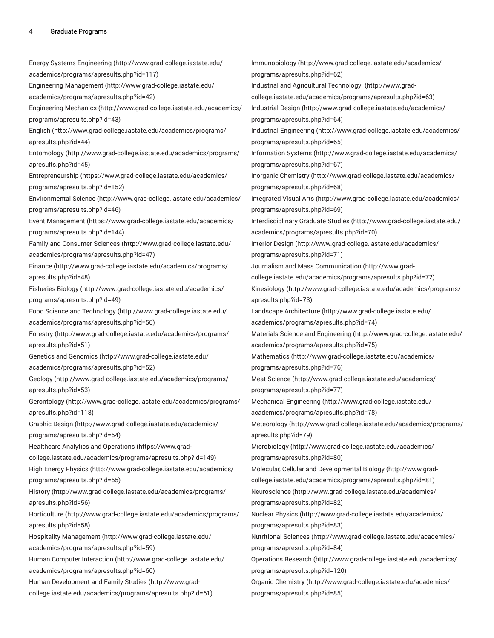Energy Systems [Engineering \(http://www.grad-college.iastate.edu/](http://www.grad-college.iastate.edu/academics/programs/apresults.php?id=117) [academics/programs/apresults.php?id=117](http://www.grad-college.iastate.edu/academics/programs/apresults.php?id=117)) [Engineering Management](http://www.grad-college.iastate.edu/academics/programs/apresults.php?id=42) ([http://www.grad-college.iastate.edu/](http://www.grad-college.iastate.edu/academics/programs/apresults.php?id=42) [academics/programs/apresults.php?id=42\)](http://www.grad-college.iastate.edu/academics/programs/apresults.php?id=42) [Engineering Mechanics](http://www.grad-college.iastate.edu/academics/programs/apresults.php?id=43) ([http://www.grad-college.iastate.edu/academics/](http://www.grad-college.iastate.edu/academics/programs/apresults.php?id=43) [programs/apresults.php?id=43](http://www.grad-college.iastate.edu/academics/programs/apresults.php?id=43)) [English](http://www.grad-college.iastate.edu/academics/programs/apresults.php?id=44) [\(http://www.grad-college.iastate.edu/academics/programs/](http://www.grad-college.iastate.edu/academics/programs/apresults.php?id=44) [apresults.php?id=44](http://www.grad-college.iastate.edu/academics/programs/apresults.php?id=44)) [Entomology](http://www.grad-college.iastate.edu/academics/programs/apresults.php?id=45) ([http://www.grad-college.iastate.edu/academics/programs/](http://www.grad-college.iastate.edu/academics/programs/apresults.php?id=45) [apresults.php?id=45](http://www.grad-college.iastate.edu/academics/programs/apresults.php?id=45)) [Entrepreneurship \(https://www.grad-college.iastate.edu/academics/](https://www.grad-college.iastate.edu/academics/programs/apresults.php?id=152) [programs/apresults.php?id=152\)](https://www.grad-college.iastate.edu/academics/programs/apresults.php?id=152) [Environmental](http://www.grad-college.iastate.edu/academics/programs/apresults.php?id=46) Science ([http://www.grad-college.iastate.edu/academics/](http://www.grad-college.iastate.edu/academics/programs/apresults.php?id=46) [programs/apresults.php?id=46](http://www.grad-college.iastate.edu/academics/programs/apresults.php?id=46)) Event [Management \(https://www.grad-college.iastate.edu/academics/](https://www.grad-college.iastate.edu/academics/programs/apresults.php?id=144) [programs/apresults.php?id=144\)](https://www.grad-college.iastate.edu/academics/programs/apresults.php?id=144) Family and [Consumer](http://www.grad-college.iastate.edu/academics/programs/apresults.php?id=47) Sciences [\(http://www.grad-college.iastate.edu/](http://www.grad-college.iastate.edu/academics/programs/apresults.php?id=47) [academics/programs/apresults.php?id=47\)](http://www.grad-college.iastate.edu/academics/programs/apresults.php?id=47) [Finance \(http://www.grad-college.iastate.edu/academics/programs/](http://www.grad-college.iastate.edu/academics/programs/apresults.php?id=48) [apresults.php?id=48](http://www.grad-college.iastate.edu/academics/programs/apresults.php?id=48)) [Fisheries Biology \(http://www.grad-college.iastate.edu/academics/](http://www.grad-college.iastate.edu/academics/programs/apresults.php?id=49) [programs/apresults.php?id=49](http://www.grad-college.iastate.edu/academics/programs/apresults.php?id=49)) Food Science and [Technology \(http://www.grad-college.iastate.edu/](http://www.grad-college.iastate.edu/academics/programs/apresults.php?id=50) [academics/programs/apresults.php?id=50\)](http://www.grad-college.iastate.edu/academics/programs/apresults.php?id=50) [Forestry \(http://www.grad-college.iastate.edu/academics/programs/](http://www.grad-college.iastate.edu/academics/programs/apresults.php?id=51) [apresults.php?id=51](http://www.grad-college.iastate.edu/academics/programs/apresults.php?id=51)) [Genetics and Genomics](http://www.grad-college.iastate.edu/academics/programs/apresults.php?id=52) ([http://www.grad-college.iastate.edu/](http://www.grad-college.iastate.edu/academics/programs/apresults.php?id=52) [academics/programs/apresults.php?id=52\)](http://www.grad-college.iastate.edu/academics/programs/apresults.php?id=52) [Geology](http://www.grad-college.iastate.edu/academics/programs/apresults.php?id=53) ([http://www.grad-college.iastate.edu/academics/programs/](http://www.grad-college.iastate.edu/academics/programs/apresults.php?id=53) [apresults.php?id=53](http://www.grad-college.iastate.edu/academics/programs/apresults.php?id=53)) [Gerontology \(http://www.grad-college.iastate.edu/academics/programs/](http://www.grad-college.iastate.edu/academics/programs/apresults.php?id=118) [apresults.php?id=118\)](http://www.grad-college.iastate.edu/academics/programs/apresults.php?id=118) [Graphic Design \(http://www.grad-college.iastate.edu/academics/](http://www.grad-college.iastate.edu/academics/programs/apresults.php?id=54) [programs/apresults.php?id=54](http://www.grad-college.iastate.edu/academics/programs/apresults.php?id=54)) [Healthcare](https://www.grad-college.iastate.edu/academics/programs/apresults.php?id=149) Analytics and Operations ([https://www.grad](https://www.grad-college.iastate.edu/academics/programs/apresults.php?id=149)[college.iastate.edu/academics/programs/apresults.php?id=149](https://www.grad-college.iastate.edu/academics/programs/apresults.php?id=149)) High Energy [Physics \(http://www.grad-college.iastate.edu/academics/](http://www.grad-college.iastate.edu/academics/programs/apresults.php?id=55) [programs/apresults.php?id=55](http://www.grad-college.iastate.edu/academics/programs/apresults.php?id=55)) [History](http://www.grad-college.iastate.edu/academics/programs/apresults.php?id=56) ([http://www.grad-college.iastate.edu/academics/programs/](http://www.grad-college.iastate.edu/academics/programs/apresults.php?id=56) [apresults.php?id=56](http://www.grad-college.iastate.edu/academics/programs/apresults.php?id=56)) [Horticulture \(http://www.grad-college.iastate.edu/academics/programs/](http://www.grad-college.iastate.edu/academics/programs/apresults.php?id=58) [apresults.php?id=58](http://www.grad-college.iastate.edu/academics/programs/apresults.php?id=58)) [Hospitality Management \(http://www.grad-college.iastate.edu/](http://www.grad-college.iastate.edu/academics/programs/apresults.php?id=59) [academics/programs/apresults.php?id=59\)](http://www.grad-college.iastate.edu/academics/programs/apresults.php?id=59) [Human Computer Interaction \(http://www.grad-college.iastate.edu/](http://www.grad-college.iastate.edu/academics/programs/apresults.php?id=60) [academics/programs/apresults.php?id=60\)](http://www.grad-college.iastate.edu/academics/programs/apresults.php?id=60) Human [Development](http://www.grad-college.iastate.edu/academics/programs/apresults.php?id=61) and Family Studies ([http://www.grad](http://www.grad-college.iastate.edu/academics/programs/apresults.php?id=61)[college.iastate.edu/academics/programs/apresults.php?id=61\)](http://www.grad-college.iastate.edu/academics/programs/apresults.php?id=61)

[Immunobiology](http://www.grad-college.iastate.edu/academics/programs/apresults.php?id=62) [\(http://www.grad-college.iastate.edu/academics/](http://www.grad-college.iastate.edu/academics/programs/apresults.php?id=62) [programs/apresults.php?id=62](http://www.grad-college.iastate.edu/academics/programs/apresults.php?id=62)) Industrial and Agricultural [Technology](http://www.grad-college.iastate.edu/academics/programs/apresults.php?id=63) ([http://www.grad](http://www.grad-college.iastate.edu/academics/programs/apresults.php?id=63)[college.iastate.edu/academics/programs/apresults.php?id=63](http://www.grad-college.iastate.edu/academics/programs/apresults.php?id=63)) [Industrial Design](http://www.grad-college.iastate.edu/academics/programs/apresults.php?id=64) ([http://www.grad-college.iastate.edu/academics/](http://www.grad-college.iastate.edu/academics/programs/apresults.php?id=64) [programs/apresults.php?id=64](http://www.grad-college.iastate.edu/academics/programs/apresults.php?id=64)) [Industrial Engineering](http://www.grad-college.iastate.edu/academics/programs/apresults.php?id=65) ([http://www.grad-college.iastate.edu/academics/](http://www.grad-college.iastate.edu/academics/programs/apresults.php?id=65) [programs/apresults.php?id=65](http://www.grad-college.iastate.edu/academics/programs/apresults.php?id=65)) [Information Systems \(http://www.grad-college.iastate.edu/academics/](http://www.grad-college.iastate.edu/academics/programs/apresults.php?id=67) [programs/apresults.php?id=67](http://www.grad-college.iastate.edu/academics/programs/apresults.php?id=67)) Inorganic [Chemistry \(http://www.grad-college.iastate.edu/academics/](http://www.grad-college.iastate.edu/academics/programs/apresults.php?id=68) [programs/apresults.php?id=68](http://www.grad-college.iastate.edu/academics/programs/apresults.php?id=68)) [Integrated](http://www.grad-college.iastate.edu/academics/programs/apresults.php?id=69) Visual Arts [\(http://www.grad-college.iastate.edu/academics/](http://www.grad-college.iastate.edu/academics/programs/apresults.php?id=69) [programs/apresults.php?id=69](http://www.grad-college.iastate.edu/academics/programs/apresults.php?id=69)) [Interdisciplinary](http://www.grad-college.iastate.edu/academics/programs/apresults.php?id=70) Graduate Studies [\(http://www.grad-college.iastate.edu/](http://www.grad-college.iastate.edu/academics/programs/apresults.php?id=70) [academics/programs/apresults.php?id=70\)](http://www.grad-college.iastate.edu/academics/programs/apresults.php?id=70) [Interior Design](http://www.grad-college.iastate.edu/academics/programs/apresults.php?id=71) ([http://www.grad-college.iastate.edu/academics/](http://www.grad-college.iastate.edu/academics/programs/apresults.php?id=71) [programs/apresults.php?id=71](http://www.grad-college.iastate.edu/academics/programs/apresults.php?id=71)) [Journalism and Mass Communication](http://www.grad-college.iastate.edu/academics/programs/apresults.php?id=72) ([http://www.grad](http://www.grad-college.iastate.edu/academics/programs/apresults.php?id=72)[college.iastate.edu/academics/programs/apresults.php?id=72](http://www.grad-college.iastate.edu/academics/programs/apresults.php?id=72)) [Kinesiology](http://www.grad-college.iastate.edu/academics/programs/apresults.php?id=73) ([http://www.grad-college.iastate.edu/academics/programs/](http://www.grad-college.iastate.edu/academics/programs/apresults.php?id=73) [apresults.php?id=73](http://www.grad-college.iastate.edu/academics/programs/apresults.php?id=73)) Landscape [Architecture \(http://www.grad-college.iastate.edu/](http://www.grad-college.iastate.edu/academics/programs/apresults.php?id=74) [academics/programs/apresults.php?id=74\)](http://www.grad-college.iastate.edu/academics/programs/apresults.php?id=74) [Materials Science and Engineering \(http://www.grad-college.iastate.edu/](http://www.grad-college.iastate.edu/academics/programs/apresults.php?id=75) [academics/programs/apresults.php?id=75\)](http://www.grad-college.iastate.edu/academics/programs/apresults.php?id=75) [Mathematics](http://www.grad-college.iastate.edu/academics/programs/apresults.php?id=76) ([http://www.grad-college.iastate.edu/academics/](http://www.grad-college.iastate.edu/academics/programs/apresults.php?id=76) [programs/apresults.php?id=76](http://www.grad-college.iastate.edu/academics/programs/apresults.php?id=76)) [Meat Science](http://www.grad-college.iastate.edu/academics/programs/apresults.php?id=77) ([http://www.grad-college.iastate.edu/academics/](http://www.grad-college.iastate.edu/academics/programs/apresults.php?id=77) [programs/apresults.php?id=77](http://www.grad-college.iastate.edu/academics/programs/apresults.php?id=77)) [Mechanical Engineering \(http://www.grad-college.iastate.edu/](http://www.grad-college.iastate.edu/academics/programs/apresults.php?id=78) [academics/programs/apresults.php?id=78\)](http://www.grad-college.iastate.edu/academics/programs/apresults.php?id=78) [Meteorology](http://www.grad-college.iastate.edu/academics/programs/apresults.php?id=79) [\(http://www.grad-college.iastate.edu/academics/programs/](http://www.grad-college.iastate.edu/academics/programs/apresults.php?id=79) [apresults.php?id=79](http://www.grad-college.iastate.edu/academics/programs/apresults.php?id=79)) [Microbiology](http://www.grad-college.iastate.edu/academics/programs/apresults.php?id=80) ([http://www.grad-college.iastate.edu/academics/](http://www.grad-college.iastate.edu/academics/programs/apresults.php?id=80) [programs/apresults.php?id=80](http://www.grad-college.iastate.edu/academics/programs/apresults.php?id=80)) Molecular, Cellular and [Developmental](http://www.grad-college.iastate.edu/academics/programs/apresults.php?id=81) Biology [\(http://www.grad](http://www.grad-college.iastate.edu/academics/programs/apresults.php?id=81)[college.iastate.edu/academics/programs/apresults.php?id=81](http://www.grad-college.iastate.edu/academics/programs/apresults.php?id=81)) [Neuroscience \(http://www.grad-college.iastate.edu/academics/](http://www.grad-college.iastate.edu/academics/programs/apresults.php?id=82) [programs/apresults.php?id=82](http://www.grad-college.iastate.edu/academics/programs/apresults.php?id=82)) [Nuclear Physics \(http://www.grad-college.iastate.edu/academics/](http://www.grad-college.iastate.edu/academics/programs/apresults.php?id=83) [programs/apresults.php?id=83](http://www.grad-college.iastate.edu/academics/programs/apresults.php?id=83)) [Nutritional Sciences](http://www.grad-college.iastate.edu/academics/programs/apresults.php?id=84) ([http://www.grad-college.iastate.edu/academics/](http://www.grad-college.iastate.edu/academics/programs/apresults.php?id=84) [programs/apresults.php?id=84](http://www.grad-college.iastate.edu/academics/programs/apresults.php?id=84)) [Operations](http://www.grad-college.iastate.edu/academics/programs/apresults.php?id=120) Research [\(http://www.grad-college.iastate.edu/academics/](http://www.grad-college.iastate.edu/academics/programs/apresults.php?id=120) [programs/apresults.php?id=120\)](http://www.grad-college.iastate.edu/academics/programs/apresults.php?id=120) Organic [Chemistry \(http://www.grad-college.iastate.edu/academics/](http://www.grad-college.iastate.edu/academics/programs/apresults.php?id=85) [programs/apresults.php?id=85](http://www.grad-college.iastate.edu/academics/programs/apresults.php?id=85))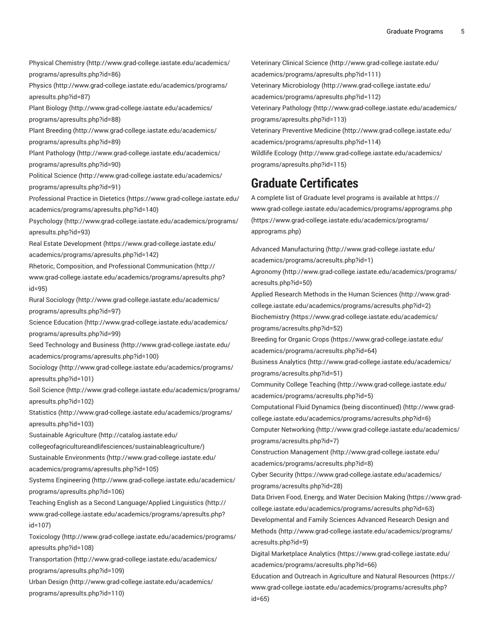Physical [Chemistry](http://www.grad-college.iastate.edu/academics/programs/apresults.php?id=86) ([http://www.grad-college.iastate.edu/academics/](http://www.grad-college.iastate.edu/academics/programs/apresults.php?id=86) [programs/apresults.php?id=86](http://www.grad-college.iastate.edu/academics/programs/apresults.php?id=86)) [Physics](http://www.grad-college.iastate.edu/academics/programs/apresults.php?id=87) ([http://www.grad-college.iastate.edu/academics/programs/](http://www.grad-college.iastate.edu/academics/programs/apresults.php?id=87) [apresults.php?id=87](http://www.grad-college.iastate.edu/academics/programs/apresults.php?id=87)) [Plant Biology \(http://www.grad-college.iastate.edu/academics/](http://www.grad-college.iastate.edu/academics/programs/apresults.php?id=88) [programs/apresults.php?id=88](http://www.grad-college.iastate.edu/academics/programs/apresults.php?id=88)) Plant [Breeding \(http://www.grad-college.iastate.edu/academics/](http://www.grad-college.iastate.edu/academics/programs/apresults.php?id=89) [programs/apresults.php?id=89](http://www.grad-college.iastate.edu/academics/programs/apresults.php?id=89)) Plant [Pathology](http://www.grad-college.iastate.edu/academics/programs/apresults.php?id=90) ([http://www.grad-college.iastate.edu/academics/](http://www.grad-college.iastate.edu/academics/programs/apresults.php?id=90) [programs/apresults.php?id=90](http://www.grad-college.iastate.edu/academics/programs/apresults.php?id=90)) [Political](http://www.grad-college.iastate.edu/academics/programs/apresults.php?id=91) Science [\(http://www.grad-college.iastate.edu/academics/](http://www.grad-college.iastate.edu/academics/programs/apresults.php?id=91) [programs/apresults.php?id=91](http://www.grad-college.iastate.edu/academics/programs/apresults.php?id=91)) [Professional](https://www.grad-college.iastate.edu/academics/programs/apresults.php?id=140) Practice in Dietetics ([https://www.grad-college.iastate.edu/](https://www.grad-college.iastate.edu/academics/programs/apresults.php?id=140) [academics/programs/apresults.php?id=140](https://www.grad-college.iastate.edu/academics/programs/apresults.php?id=140)) [Psychology \(http://www.grad-college.iastate.edu/academics/programs/](http://www.grad-college.iastate.edu/academics/programs/apresults.php?id=93) [apresults.php?id=93](http://www.grad-college.iastate.edu/academics/programs/apresults.php?id=93)) Real Estate [Development](https://www.grad-college.iastate.edu/academics/programs/apresults.php?id=142) ([https://www.grad-college.iastate.edu/](https://www.grad-college.iastate.edu/academics/programs/apresults.php?id=142) [academics/programs/apresults.php?id=142](https://www.grad-college.iastate.edu/academics/programs/apresults.php?id=142)) Rhetoric, Composition, and Professional [Communication](http://www.grad-college.iastate.edu/academics/programs/apresults.php?id=95) ([http://](http://www.grad-college.iastate.edu/academics/programs/apresults.php?id=95) [www.grad-college.iastate.edu/academics/programs/apresults.php?](http://www.grad-college.iastate.edu/academics/programs/apresults.php?id=95) [id=95](http://www.grad-college.iastate.edu/academics/programs/apresults.php?id=95)) [Rural Sociology](http://www.grad-college.iastate.edu/academics/programs/apresults.php?id=97) [\(http://www.grad-college.iastate.edu/academics/](http://www.grad-college.iastate.edu/academics/programs/apresults.php?id=97) [programs/apresults.php?id=97](http://www.grad-college.iastate.edu/academics/programs/apresults.php?id=97)) Science [Education \(http://www.grad-college.iastate.edu/academics/](http://www.grad-college.iastate.edu/academics/programs/apresults.php?id=99) [programs/apresults.php?id=99](http://www.grad-college.iastate.edu/academics/programs/apresults.php?id=99)) Seed [Technology](http://www.grad-college.iastate.edu/academics/programs/apresults.php?id=100) and Business ([http://www.grad-college.iastate.edu/](http://www.grad-college.iastate.edu/academics/programs/apresults.php?id=100) [academics/programs/apresults.php?id=100](http://www.grad-college.iastate.edu/academics/programs/apresults.php?id=100)) [Sociology](http://www.grad-college.iastate.edu/academics/programs/apresults.php?id=101) [\(http://www.grad-college.iastate.edu/academics/programs/](http://www.grad-college.iastate.edu/academics/programs/apresults.php?id=101) [apresults.php?id=101\)](http://www.grad-college.iastate.edu/academics/programs/apresults.php?id=101) [Soil Science](http://www.grad-college.iastate.edu/academics/programs/apresults.php?id=102) ([http://www.grad-college.iastate.edu/academics/programs/](http://www.grad-college.iastate.edu/academics/programs/apresults.php?id=102) [apresults.php?id=102\)](http://www.grad-college.iastate.edu/academics/programs/apresults.php?id=102) [Statistics](http://www.grad-college.iastate.edu/academics/programs/apresults.php?id=103) ([http://www.grad-college.iastate.edu/academics/programs/](http://www.grad-college.iastate.edu/academics/programs/apresults.php?id=103) [apresults.php?id=103\)](http://www.grad-college.iastate.edu/academics/programs/apresults.php?id=103) [Sustainable](http://catalog.iastate.edu/collegeofagricultureandlifesciences/sustainableagriculture/) Agriculture ([http://catalog.iastate.edu/](http://catalog.iastate.edu/collegeofagricultureandlifesciences/sustainableagriculture/) [collegeofagricultureandlifesciences/sustainableagriculture/](http://catalog.iastate.edu/collegeofagricultureandlifesciences/sustainableagriculture/)) Sustainable [Environments](http://www.grad-college.iastate.edu/academics/programs/apresults.php?id=105) ([http://www.grad-college.iastate.edu/](http://www.grad-college.iastate.edu/academics/programs/apresults.php?id=105) [academics/programs/apresults.php?id=105](http://www.grad-college.iastate.edu/academics/programs/apresults.php?id=105)) [Systems Engineering](http://www.grad-college.iastate.edu/academics/programs/apresults.php?id=106) ([http://www.grad-college.iastate.edu/academics/](http://www.grad-college.iastate.edu/academics/programs/apresults.php?id=106) [programs/apresults.php?id=106\)](http://www.grad-college.iastate.edu/academics/programs/apresults.php?id=106) Teaching English as a Second [Language/Applied](http://www.grad-college.iastate.edu/academics/programs/apresults.php?id=107) Linguistics [\(http://](http://www.grad-college.iastate.edu/academics/programs/apresults.php?id=107) [www.grad-college.iastate.edu/academics/programs/apresults.php?](http://www.grad-college.iastate.edu/academics/programs/apresults.php?id=107) [id=107\)](http://www.grad-college.iastate.edu/academics/programs/apresults.php?id=107) [Toxicology \(http://www.grad-college.iastate.edu/academics/programs/](http://www.grad-college.iastate.edu/academics/programs/apresults.php?id=108) [apresults.php?id=108\)](http://www.grad-college.iastate.edu/academics/programs/apresults.php?id=108) [Transportation](http://www.grad-college.iastate.edu/academics/programs/apresults.php?id=109) ([http://www.grad-college.iastate.edu/academics/](http://www.grad-college.iastate.edu/academics/programs/apresults.php?id=109) [programs/apresults.php?id=109\)](http://www.grad-college.iastate.edu/academics/programs/apresults.php?id=109) [Urban Design](http://www.grad-college.iastate.edu/academics/programs/apresults.php?id=110) ([http://www.grad-college.iastate.edu/academics/](http://www.grad-college.iastate.edu/academics/programs/apresults.php?id=110) [programs/apresults.php?id=110\)](http://www.grad-college.iastate.edu/academics/programs/apresults.php?id=110)

[Veterinary](http://www.grad-college.iastate.edu/academics/programs/apresults.php?id=111) Clinical Science [\(http://www.grad-college.iastate.edu/](http://www.grad-college.iastate.edu/academics/programs/apresults.php?id=111) [academics/programs/apresults.php?id=111](http://www.grad-college.iastate.edu/academics/programs/apresults.php?id=111)) Veterinary [Microbiology \(http://www.grad-college.iastate.edu/](http://www.grad-college.iastate.edu/academics/programs/apresults.php?id=112) [academics/programs/apresults.php?id=112](http://www.grad-college.iastate.edu/academics/programs/apresults.php?id=112)) [Veterinary](http://www.grad-college.iastate.edu/academics/programs/apresults.php?id=113) Pathology [\(http://www.grad-college.iastate.edu/academics/](http://www.grad-college.iastate.edu/academics/programs/apresults.php?id=113) [programs/apresults.php?id=113\)](http://www.grad-college.iastate.edu/academics/programs/apresults.php?id=113) Veterinary [Preventive](http://www.grad-college.iastate.edu/academics/programs/apresults.php?id=114) Medicine [\(http://www.grad-college.iastate.edu/](http://www.grad-college.iastate.edu/academics/programs/apresults.php?id=114) [academics/programs/apresults.php?id=114](http://www.grad-college.iastate.edu/academics/programs/apresults.php?id=114)) Wildlife [Ecology](http://www.grad-college.iastate.edu/academics/programs/apresults.php?id=115) [\(http://www.grad-college.iastate.edu/academics/](http://www.grad-college.iastate.edu/academics/programs/apresults.php?id=115) [programs/apresults.php?id=115\)](http://www.grad-college.iastate.edu/academics/programs/apresults.php?id=115) **Graduate Certificates** A complete list of Graduate level programs is available at [https://](https://www.grad-college.iastate.edu/academics/programs/apprograms.php) [www.grad-college.iastate.edu/academics/programs/apprograms.php](https://www.grad-college.iastate.edu/academics/programs/apprograms.php) [\(https://www.grad-college.iastate.edu/academics/programs/](https://www.grad-college.iastate.edu/academics/programs/apprograms.php) [apprograms.php\)](https://www.grad-college.iastate.edu/academics/programs/apprograms.php)

Advanced [Manufacturing](http://www.grad-college.iastate.edu/academics/programs/acresults.php?id=1) ([http://www.grad-college.iastate.edu/](http://www.grad-college.iastate.edu/academics/programs/acresults.php?id=1) [academics/programs/acresults.php?id=1](http://www.grad-college.iastate.edu/academics/programs/acresults.php?id=1))

[Agronomy](http://www.grad-college.iastate.edu/academics/programs/acresults.php?id=50) [\(http://www.grad-college.iastate.edu/academics/programs/](http://www.grad-college.iastate.edu/academics/programs/acresults.php?id=50) [acresults.php?id=50](http://www.grad-college.iastate.edu/academics/programs/acresults.php?id=50))

Applied [Research](http://www.grad-college.iastate.edu/academics/programs/acresults.php?id=2) Methods in the Human Sciences [\(http://www.grad](http://www.grad-college.iastate.edu/academics/programs/acresults.php?id=2)[college.iastate.edu/academics/programs/acresults.php?id=2\)](http://www.grad-college.iastate.edu/academics/programs/acresults.php?id=2)

[Biochemistry \(https://www.grad-college.iastate.edu/academics/](https://www.grad-college.iastate.edu/academics/programs/acresults.php?id=52) [programs/acresults.php?id=52](https://www.grad-college.iastate.edu/academics/programs/acresults.php?id=52))

[Breeding](https://www.grad-college.iastate.edu/academics/programs/acresults.php?id=64) for Organic Crops ([https://www.grad-college.iastate.edu/](https://www.grad-college.iastate.edu/academics/programs/acresults.php?id=64) [academics/programs/acresults.php?id=64\)](https://www.grad-college.iastate.edu/academics/programs/acresults.php?id=64)

[Business Analytics \(http://www.grad-college.iastate.edu/academics/](http://www.grad-college.iastate.edu/academics/programs/acresults.php?id=51) [programs/acresults.php?id=51](http://www.grad-college.iastate.edu/academics/programs/acresults.php?id=51))

[Community](http://www.grad-college.iastate.edu/academics/programs/acresults.php?id=5) College Teaching ([http://www.grad-college.iastate.edu/](http://www.grad-college.iastate.edu/academics/programs/acresults.php?id=5) [academics/programs/acresults.php?id=5](http://www.grad-college.iastate.edu/academics/programs/acresults.php?id=5))

[Computational Fluid Dynamics \(being discontinued\) \(http://www.grad](http://www.grad-college.iastate.edu/academics/programs/acresults.php?id=6)[college.iastate.edu/academics/programs/acresults.php?id=6\)](http://www.grad-college.iastate.edu/academics/programs/acresults.php?id=6)

[Computer Networking](http://www.grad-college.iastate.edu/academics/programs/acresults.php?id=7) ([http://www.grad-college.iastate.edu/academics/](http://www.grad-college.iastate.edu/academics/programs/acresults.php?id=7) [programs/acresults.php?id=7\)](http://www.grad-college.iastate.edu/academics/programs/acresults.php?id=7)

[Construction Management](http://www.grad-college.iastate.edu/academics/programs/acresults.php?id=8) [\(http://www.grad-college.iastate.edu/](http://www.grad-college.iastate.edu/academics/programs/acresults.php?id=8) [academics/programs/acresults.php?id=8](http://www.grad-college.iastate.edu/academics/programs/acresults.php?id=8))

[Cyber Security](https://www.grad-college.iastate.edu/academics/programs/acresults.php?id=28) [\(https://www.grad-college.iastate.edu/academics/](https://www.grad-college.iastate.edu/academics/programs/acresults.php?id=28) [programs/acresults.php?id=28](https://www.grad-college.iastate.edu/academics/programs/acresults.php?id=28))

Data Driven Food, Energy, and Water [Decision](https://www.grad-college.iastate.edu/academics/programs/acresults.php?id=63) Making ([https://www.grad](https://www.grad-college.iastate.edu/academics/programs/acresults.php?id=63)[college.iastate.edu/academics/programs/acresults.php?id=63](https://www.grad-college.iastate.edu/academics/programs/acresults.php?id=63)) [Developmental](http://www.grad-college.iastate.edu/academics/programs/acresults.php?id=9) and Family Sciences Advanced Research Design and

[Methods](http://www.grad-college.iastate.edu/academics/programs/acresults.php?id=9) ([http://www.grad-college.iastate.edu/academics/programs/](http://www.grad-college.iastate.edu/academics/programs/acresults.php?id=9) [acresults.php?id=9\)](http://www.grad-college.iastate.edu/academics/programs/acresults.php?id=9)

Digital [Marketplace](https://www.grad-college.iastate.edu/academics/programs/acresults.php?id=66) Analytics ([https://www.grad-college.iastate.edu/](https://www.grad-college.iastate.edu/academics/programs/acresults.php?id=66) [academics/programs/acresults.php?id=66\)](https://www.grad-college.iastate.edu/academics/programs/acresults.php?id=66)

Education and Outreach in [Agriculture](https://www.grad-college.iastate.edu/academics/programs/acresults.php?id=65) and Natural Resources [\(https://](https://www.grad-college.iastate.edu/academics/programs/acresults.php?id=65) [www.grad-college.iastate.edu/academics/programs/acresults.php?](https://www.grad-college.iastate.edu/academics/programs/acresults.php?id=65) [id=65](https://www.grad-college.iastate.edu/academics/programs/acresults.php?id=65))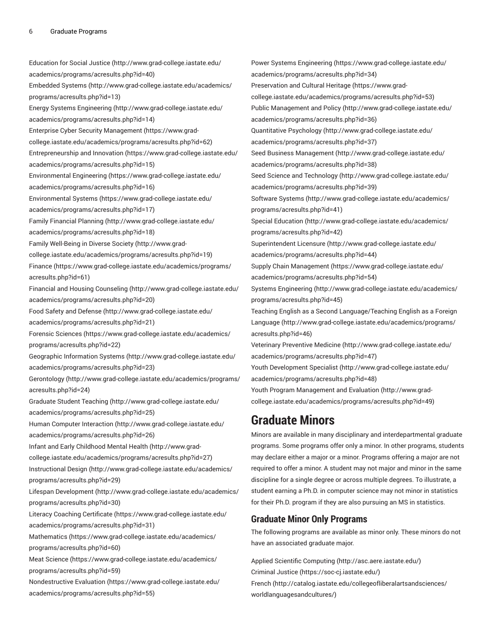[Education](http://www.grad-college.iastate.edu/academics/programs/acresults.php?id=40) for Social Justice [\(http://www.grad-college.iastate.edu/](http://www.grad-college.iastate.edu/academics/programs/acresults.php?id=40) [academics/programs/acresults.php?id=40](http://www.grad-college.iastate.edu/academics/programs/acresults.php?id=40)) [Embedded Systems \(http://www.grad-college.iastate.edu/academics/](http://www.grad-college.iastate.edu/academics/programs/acresults.php?id=13) [programs/acresults.php?id=13\)](http://www.grad-college.iastate.edu/academics/programs/acresults.php?id=13) Energy Systems [Engineering \(http://www.grad-college.iastate.edu/](http://www.grad-college.iastate.edu/academics/programs/acresults.php?id=14) [academics/programs/acresults.php?id=14](http://www.grad-college.iastate.edu/academics/programs/acresults.php?id=14)) [Enterprise Cyber Security Management](https://www.grad-college.iastate.edu/academics/programs/acresults.php?id=62) ([https://www.grad](https://www.grad-college.iastate.edu/academics/programs/acresults.php?id=62)[college.iastate.edu/academics/programs/acresults.php?id=62\)](https://www.grad-college.iastate.edu/academics/programs/acresults.php?id=62) [Entrepreneurship](https://www.grad-college.iastate.edu/academics/programs/acresults.php?id=15) and Innovation ([https://www.grad-college.iastate.edu/](https://www.grad-college.iastate.edu/academics/programs/acresults.php?id=15) [academics/programs/acresults.php?id=15](https://www.grad-college.iastate.edu/academics/programs/acresults.php?id=15)) [Environmental](https://www.grad-college.iastate.edu/academics/programs/acresults.php?id=16) Engineering [\(https://www.grad-college.iastate.edu/](https://www.grad-college.iastate.edu/academics/programs/acresults.php?id=16) [academics/programs/acresults.php?id=16](https://www.grad-college.iastate.edu/academics/programs/acresults.php?id=16)) [Environmental](https://www.grad-college.iastate.edu/academics/programs/acresults.php?id=17) Systems ([https://www.grad-college.iastate.edu/](https://www.grad-college.iastate.edu/academics/programs/acresults.php?id=17) [academics/programs/acresults.php?id=17](https://www.grad-college.iastate.edu/academics/programs/acresults.php?id=17)) Family [Financial](http://www.grad-college.iastate.edu/academics/programs/acresults.php?id=18) Planning [\(http://www.grad-college.iastate.edu/](http://www.grad-college.iastate.edu/academics/programs/acresults.php?id=18) [academics/programs/acresults.php?id=18](http://www.grad-college.iastate.edu/academics/programs/acresults.php?id=18)) Family [Well-Being](http://www.grad-college.iastate.edu/academics/programs/acresults.php?id=19) in Diverse Society [\(http://www.grad](http://www.grad-college.iastate.edu/academics/programs/acresults.php?id=19)[college.iastate.edu/academics/programs/acresults.php?id=19\)](http://www.grad-college.iastate.edu/academics/programs/acresults.php?id=19) [Finance \(https://www.grad-college.iastate.edu/academics/programs/](https://www.grad-college.iastate.edu/academics/programs/acresults.php?id=61) [acresults.php?id=61\)](https://www.grad-college.iastate.edu/academics/programs/acresults.php?id=61) [Financial and Housing Counseling](http://www.grad-college.iastate.edu/academics/programs/acresults.php?id=20) [\(http://www.grad-college.iastate.edu/](http://www.grad-college.iastate.edu/academics/programs/acresults.php?id=20) [academics/programs/acresults.php?id=20](http://www.grad-college.iastate.edu/academics/programs/acresults.php?id=20)) Food Safety and [Defense](http://www.grad-college.iastate.edu/academics/programs/acresults.php?id=21) ([http://www.grad-college.iastate.edu/](http://www.grad-college.iastate.edu/academics/programs/acresults.php?id=21) [academics/programs/acresults.php?id=21](http://www.grad-college.iastate.edu/academics/programs/acresults.php?id=21)) Forensic [Sciences \(https://www.grad-college.iastate.edu/academics/](https://www.grad-college.iastate.edu/academics/programs/acresults.php?id=22) [programs/acresults.php?id=22\)](https://www.grad-college.iastate.edu/academics/programs/acresults.php?id=22) [Geographic Information Systems \(http://www.grad-college.iastate.edu/](http://www.grad-college.iastate.edu/academics/programs/acresults.php?id=23) [academics/programs/acresults.php?id=23](http://www.grad-college.iastate.edu/academics/programs/acresults.php?id=23)) [Gerontology \(http://www.grad-college.iastate.edu/academics/programs/](http://www.grad-college.iastate.edu/academics/programs/acresults.php?id=24) [acresults.php?id=24\)](http://www.grad-college.iastate.edu/academics/programs/acresults.php?id=24) [Graduate](http://www.grad-college.iastate.edu/academics/programs/acresults.php?id=25) Student Teaching ([http://www.grad-college.iastate.edu/](http://www.grad-college.iastate.edu/academics/programs/acresults.php?id=25) [academics/programs/acresults.php?id=25](http://www.grad-college.iastate.edu/academics/programs/acresults.php?id=25)) [Human Computer Interaction \(http://www.grad-college.iastate.edu/](http://www.grad-college.iastate.edu/academics/programs/acresults.php?id=26) [academics/programs/acresults.php?id=26](http://www.grad-college.iastate.edu/academics/programs/acresults.php?id=26)) [Infant and Early Childhood Mental Health](http://www.grad-college.iastate.edu/academics/programs/acresults.php?id=27) [\(http://www.grad](http://www.grad-college.iastate.edu/academics/programs/acresults.php?id=27)[college.iastate.edu/academics/programs/acresults.php?id=27\)](http://www.grad-college.iastate.edu/academics/programs/acresults.php?id=27) [Instructional Design](http://www.grad-college.iastate.edu/academics/programs/acresults.php?id=29) ([http://www.grad-college.iastate.edu/academics/](http://www.grad-college.iastate.edu/academics/programs/acresults.php?id=29) [programs/acresults.php?id=29\)](http://www.grad-college.iastate.edu/academics/programs/acresults.php?id=29) Lifespan [Development](http://www.grad-college.iastate.edu/academics/programs/acresults.php?id=30) ([http://www.grad-college.iastate.edu/academics/](http://www.grad-college.iastate.edu/academics/programs/acresults.php?id=30) [programs/acresults.php?id=30\)](http://www.grad-college.iastate.edu/academics/programs/acresults.php?id=30) Literacy Coaching [Certificate](https://www.grad-college.iastate.edu/academics/programs/acresults.php?id=31) [\(https://www.grad-college.iastate.edu/](https://www.grad-college.iastate.edu/academics/programs/acresults.php?id=31) [academics/programs/acresults.php?id=31](https://www.grad-college.iastate.edu/academics/programs/acresults.php?id=31)) [Mathematics \(https://www.grad-college.iastate.edu/academics/](https://www.grad-college.iastate.edu/academics/programs/acresults.php?id=60) [programs/acresults.php?id=60\)](https://www.grad-college.iastate.edu/academics/programs/acresults.php?id=60) [Meat Science \(https://www.grad-college.iastate.edu/academics/](https://www.grad-college.iastate.edu/academics/programs/acresults.php?id=59) [programs/acresults.php?id=59\)](https://www.grad-college.iastate.edu/academics/programs/acresults.php?id=59) [Nondestructive](https://www.grad-college.iastate.edu/academics/programs/acresults.php?id=55) Evaluation [\(https://www.grad-college.iastate.edu/](https://www.grad-college.iastate.edu/academics/programs/acresults.php?id=55) [academics/programs/acresults.php?id=55](https://www.grad-college.iastate.edu/academics/programs/acresults.php?id=55)) [college.iastate.edu/academics/programs/acresults.php?id=49](http://www.grad-college.iastate.edu/academics/programs/acresults.php?id=49))

Power Systems [Engineering](https://www.grad-college.iastate.edu/academics/programs/acresults.php?id=34) ([https://www.grad-college.iastate.edu/](https://www.grad-college.iastate.edu/academics/programs/acresults.php?id=34) [academics/programs/acresults.php?id=34\)](https://www.grad-college.iastate.edu/academics/programs/acresults.php?id=34) [Preservation](https://www.grad-college.iastate.edu/academics/programs/acresults.php?id=53) and Cultural Heritage ([https://www.grad](https://www.grad-college.iastate.edu/academics/programs/acresults.php?id=53)[college.iastate.edu/academics/programs/acresults.php?id=53](https://www.grad-college.iastate.edu/academics/programs/acresults.php?id=53)) Public [Management](http://www.grad-college.iastate.edu/academics/programs/acresults.php?id=36) and Policy [\(http://www.grad-college.iastate.edu/](http://www.grad-college.iastate.edu/academics/programs/acresults.php?id=36) [academics/programs/acresults.php?id=36\)](http://www.grad-college.iastate.edu/academics/programs/acresults.php?id=36) [Quantitative](http://www.grad-college.iastate.edu/academics/programs/acresults.php?id=37) Psychology ([http://www.grad-college.iastate.edu/](http://www.grad-college.iastate.edu/academics/programs/acresults.php?id=37) [academics/programs/acresults.php?id=37\)](http://www.grad-college.iastate.edu/academics/programs/acresults.php?id=37) [Seed Business Management](http://www.grad-college.iastate.edu/academics/programs/acresults.php?id=38) ([http://www.grad-college.iastate.edu/](http://www.grad-college.iastate.edu/academics/programs/acresults.php?id=38) [academics/programs/acresults.php?id=38\)](http://www.grad-college.iastate.edu/academics/programs/acresults.php?id=38) Seed Science and [Technology \(http://www.grad-college.iastate.edu/](http://www.grad-college.iastate.edu/academics/programs/acresults.php?id=39) [academics/programs/acresults.php?id=39\)](http://www.grad-college.iastate.edu/academics/programs/acresults.php?id=39) [Software](http://www.grad-college.iastate.edu/academics/programs/acresults.php?id=41) Systems ([http://www.grad-college.iastate.edu/academics/](http://www.grad-college.iastate.edu/academics/programs/acresults.php?id=41) [programs/acresults.php?id=41](http://www.grad-college.iastate.edu/academics/programs/acresults.php?id=41)) Special [Education](http://www.grad-college.iastate.edu/academics/programs/acresults.php?id=42) ([http://www.grad-college.iastate.edu/academics/](http://www.grad-college.iastate.edu/academics/programs/acresults.php?id=42) [programs/acresults.php?id=42](http://www.grad-college.iastate.edu/academics/programs/acresults.php?id=42)) [Superintendent](http://www.grad-college.iastate.edu/academics/programs/acresults.php?id=44) Licensure [\(http://www.grad-college.iastate.edu/](http://www.grad-college.iastate.edu/academics/programs/acresults.php?id=44) [academics/programs/acresults.php?id=44\)](http://www.grad-college.iastate.edu/academics/programs/acresults.php?id=44) [Supply Chain Management](https://www.grad-college.iastate.edu/academics/programs/acresults.php?id=54) ([https://www.grad-college.iastate.edu/](https://www.grad-college.iastate.edu/academics/programs/acresults.php?id=54) [academics/programs/acresults.php?id=54\)](https://www.grad-college.iastate.edu/academics/programs/acresults.php?id=54) [Systems Engineering](http://www.grad-college.iastate.edu/academics/programs/acresults.php?id=45) ([http://www.grad-college.iastate.edu/academics/](http://www.grad-college.iastate.edu/academics/programs/acresults.php?id=45) [programs/acresults.php?id=45](http://www.grad-college.iastate.edu/academics/programs/acresults.php?id=45)) Teaching English as a Second [Language/Teaching](http://www.grad-college.iastate.edu/academics/programs/acresults.php?id=46) English as a Foreign [Language](http://www.grad-college.iastate.edu/academics/programs/acresults.php?id=46) ([http://www.grad-college.iastate.edu/academics/programs/](http://www.grad-college.iastate.edu/academics/programs/acresults.php?id=46) [acresults.php?id=46](http://www.grad-college.iastate.edu/academics/programs/acresults.php?id=46)) Veterinary [Preventive](http://www.grad-college.iastate.edu/academics/programs/acresults.php?id=47) Medicine [\(http://www.grad-college.iastate.edu/](http://www.grad-college.iastate.edu/academics/programs/acresults.php?id=47) [academics/programs/acresults.php?id=47\)](http://www.grad-college.iastate.edu/academics/programs/acresults.php?id=47) Youth [Development](http://www.grad-college.iastate.edu/academics/programs/acresults.php?id=48) Specialist ([http://www.grad-college.iastate.edu/](http://www.grad-college.iastate.edu/academics/programs/acresults.php?id=48) [academics/programs/acresults.php?id=48\)](http://www.grad-college.iastate.edu/academics/programs/acresults.php?id=48) Youth Program [Management](http://www.grad-college.iastate.edu/academics/programs/acresults.php?id=49) and Evaluation ([http://www.grad-](http://www.grad-college.iastate.edu/academics/programs/acresults.php?id=49)

#### **Graduate Minors**

Minors are available in many disciplinary and interdepartmental graduate programs. Some programs offer only a minor. In other programs, students may declare either a major or a minor. Programs offering a major are not required to offer a minor. A student may not major and minor in the same discipline for a single degree or across multiple degrees. To illustrate, a student earning a Ph.D. in computer science may not minor in statistics for their Ph.D. program if they are also pursuing an MS in statistics.

#### **Graduate Minor Only Programs**

The following programs are available as minor only. These minors do not have an associated graduate major.

[Applied Scientific Computing](http://asc.aere.iastate.edu/) [\(http://asc.aere.iastate.edu/](http://asc.aere.iastate.edu/)) [Criminal Justice](https://soc-cj.iastate.edu/) [\(https://soc-cj.iastate.edu/\)](https://soc-cj.iastate.edu/) [French](http://catalog.iastate.edu/collegeofliberalartsandsciences/worldlanguagesandcultures/) ([http://catalog.iastate.edu/collegeofliberalartsandsciences/](http://catalog.iastate.edu/collegeofliberalartsandsciences/worldlanguagesandcultures/) [worldlanguagesandcultures/\)](http://catalog.iastate.edu/collegeofliberalartsandsciences/worldlanguagesandcultures/)